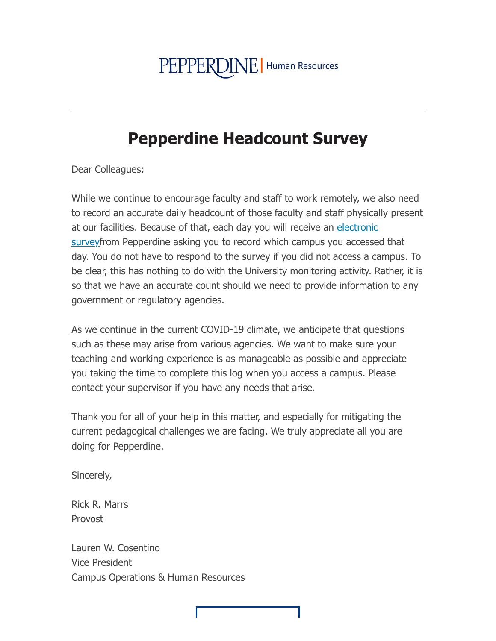## PEPPERDINE | Human Resources

## **Pepperdine Headcount Survey**

Dear Colleagues:

While we continue to encourage faculty and staff to work remotely, we also need to record an accurate daily headcount of those faculty and staff physically present at our facilities. Because of that, each day you will receive an electronic surveyfrom Pepperdine asking you to record which campus you accessed that day. You do not have to respond to the survey if you did not access a campus. To be clear, this has nothing to do with the University monitoring activity. Rather, it is so that we have an accurate count should we need to provide information to any government or regulatory agencies.

As we continue in the current COVID-19 climate, we anticipate that questions such as these may arise from various agencies. We want to make sure your teaching and working experience is as manageable as possible and appreciate you taking the time to complete this log when you access a campus. Please contact your supervisor if you have any needs that arise.

Thank you for all of your help in this matter, and especially for mitigating the current pedagogical challenges we are facing. We truly appreciate all you are doing for Pepperdine.

Sincerely,

**Rick R. Marrs** Provost

Lauren W. Cosentino **Vice President** Campus Operations & Human Resources